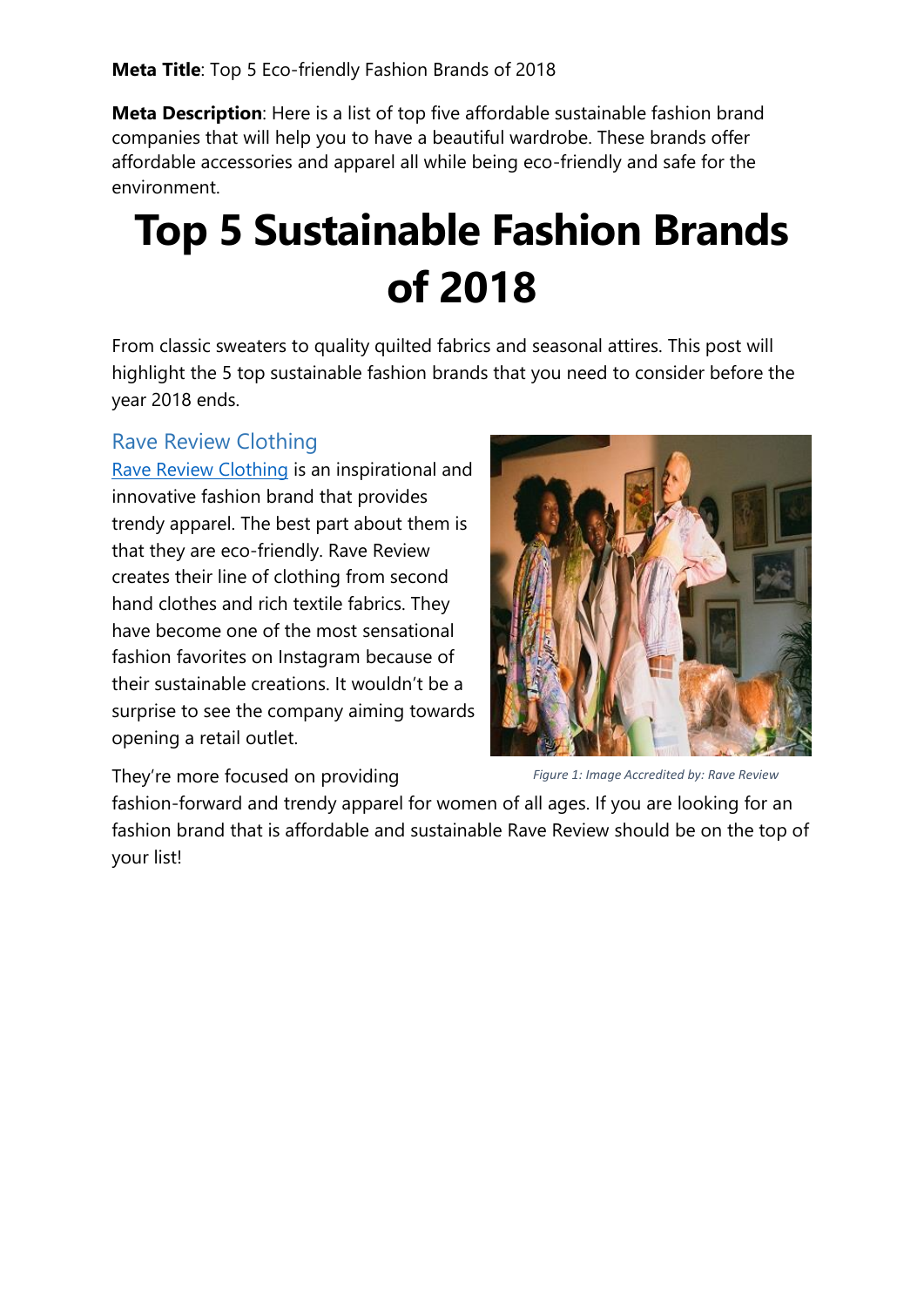**Meta Description**: Here is a list of top five affordable sustainable fashion brand companies that will help you to have a beautiful wardrobe. These brands offer affordable accessories and apparel all while being eco-friendly and safe for the environment.

# **Top 5 Sustainable Fashion Brands of 2018**

From classic sweaters to quality quilted fabrics and seasonal attires. This post will highlight the 5 top sustainable fashion brands that you need to consider before the year 2018 ends.

# Rave Review Clothing

[Rave Review Clothing](https://www.instagram.com/ravereviewclothes/?hl=en) is an inspirational and innovative fashion brand that provides trendy apparel. The best part about them is that they are eco-friendly. Rave Review creates their line of clothing from second hand clothes and rich textile fabrics. They have become one of the most sensational fashion favorites on Instagram because of their sustainable creations. It wouldn't be a surprise to see the company aiming towards opening a retail outlet.



They're more focused on providing

*Figure 1: Image Accredited by: Rave Review*

fashion-forward and trendy apparel for women of all ages. If you are looking for an fashion brand that is affordable and sustainable Rave Review should be on the top of your list!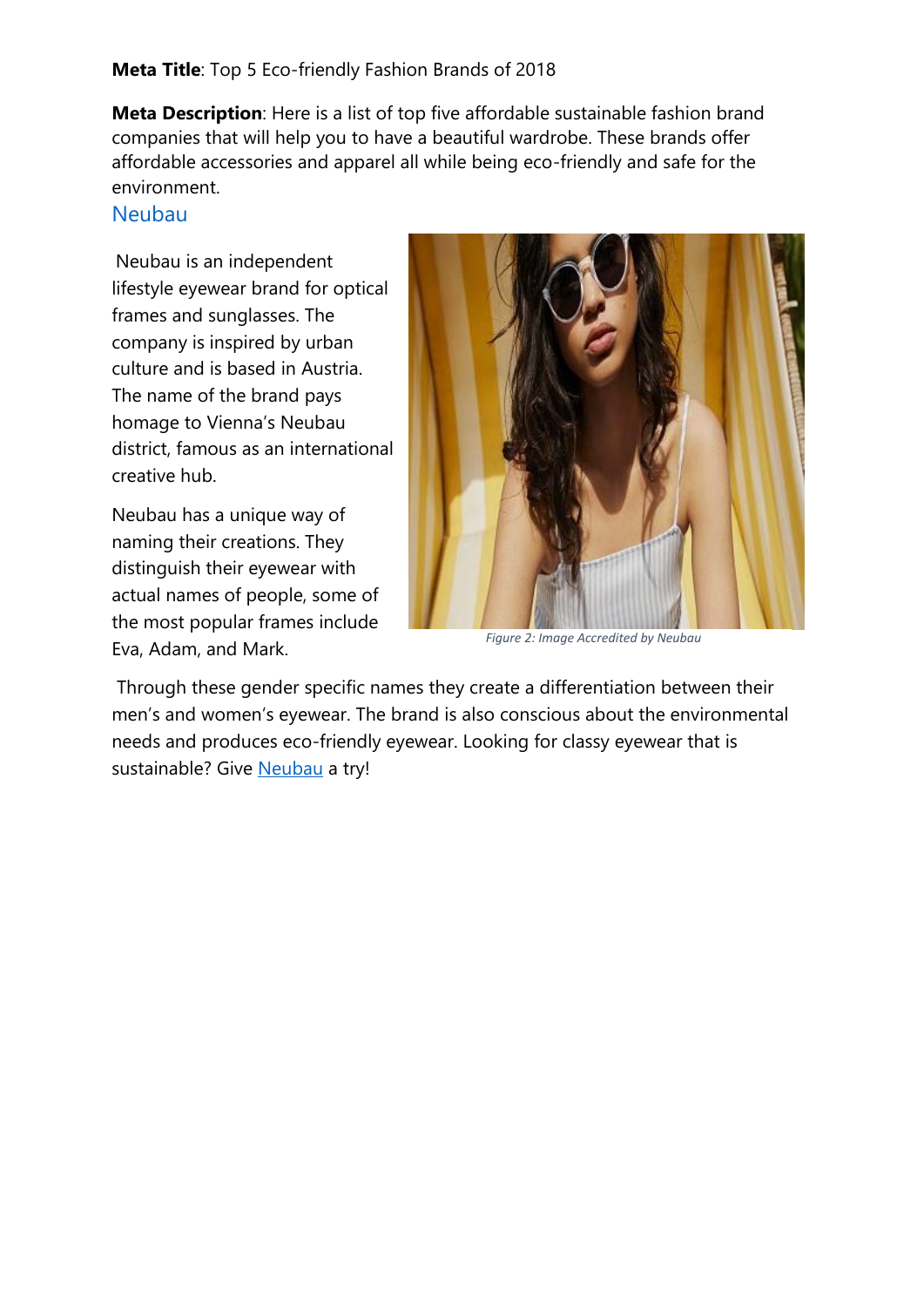#### **Meta Title**: Top 5 Eco-friendly Fashion Brands of 2018

**Meta Description**: Here is a list of top five affordable sustainable fashion brand companies that will help you to have a beautiful wardrobe. These brands offer affordable accessories and apparel all while being eco-friendly and safe for the environment.

### [Neubau](https://neubau-eyewear.com/)

Neubau is an independent lifestyle eyewear brand for optical frames and sunglasses. The company is inspired by urban culture and is based in Austria. The name of the brand pays homage to Vienna's Neubau district, famous as an international creative hub.

Neubau has a unique way of naming their creations. They distinguish their eyewear with actual names of people, some of the most popular frames include Eva, Adam, and Mark.



*Figure 2: Image Accredited by Neubau*

Through these gender specific names they create a differentiation between their men's and women's eyewear. The brand is also conscious about the environmental needs and produces eco-friendly eyewear. Looking for classy eyewear that is sustainable? Give [Neubau](https://neubau-eyewear.com/) a try!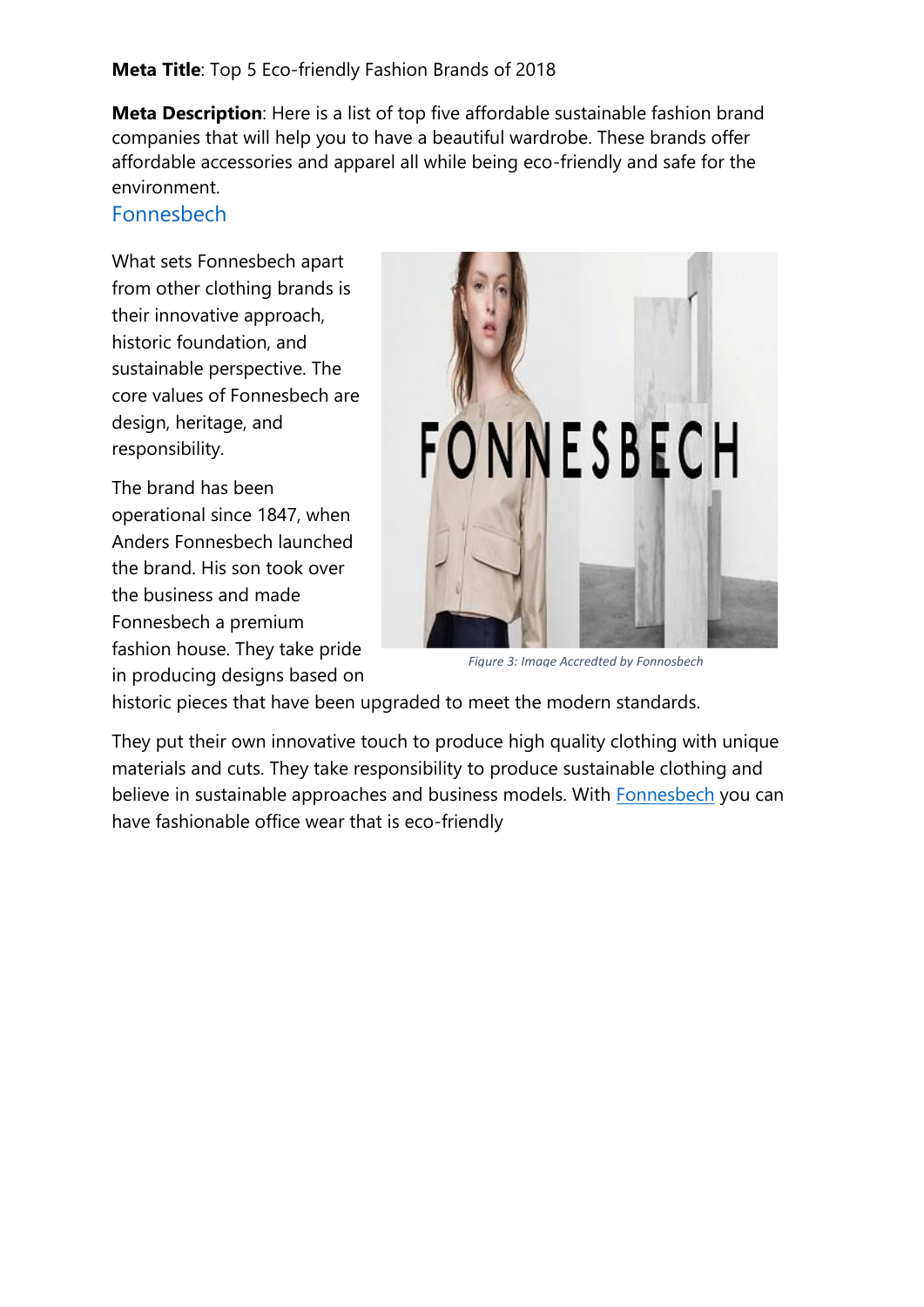**Meta Description**: Here is a list of top five affordable sustainable fashion brand companies that will help you to have a beautiful wardrobe. These brands offer affordable accessories and apparel all while being eco-friendly and safe for the environment.

## [Fonnesbech](https://fonnesbech-cph.com/)

What sets Fonnesbech apart from other clothing brands is their innovative approach, historic foundation, and sustainable perspective. The core values of Fonnesbech are design, heritage, and responsibility.

The brand has been operational since 1847, when Anders Fonnesbech launched the brand. His son took over the business and made Fonnesbech a premium fashion house. They take pride in producing designs based on



*Figure 3: Image Accredted by Fonnosbech*

historic pieces that have been upgraded to meet the modern standards.

They put their own innovative touch to produce high quality clothing with unique materials and cuts. They take responsibility to produce sustainable clothing and believe in sustainable approaches and business models. With [Fonnesbech](https://fonnesbech-cph.com/) you can have fashionable office wear that is eco-friendly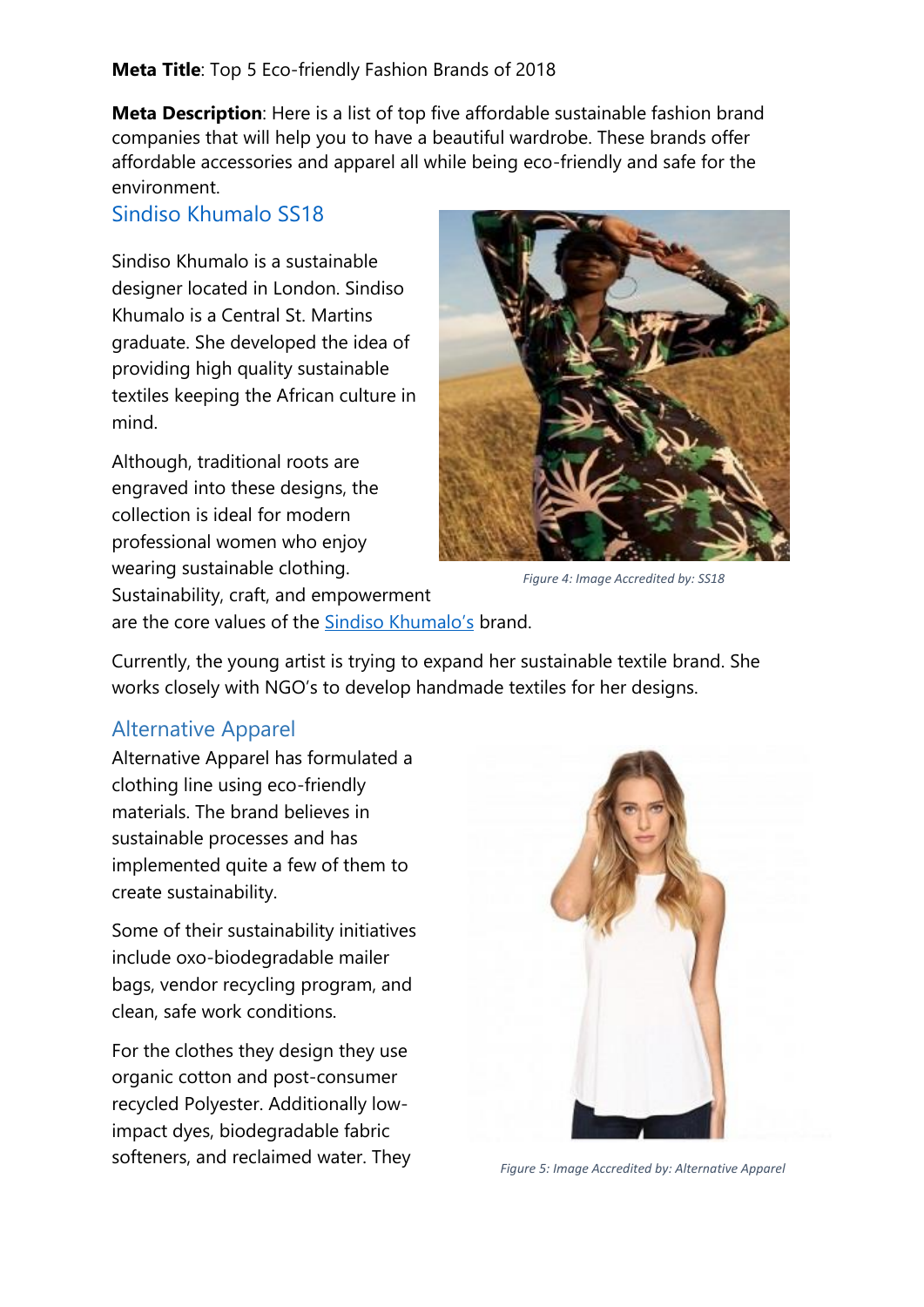#### **Meta Title**: Top 5 Eco-friendly Fashion Brands of 2018

**Meta Description**: Here is a list of top five affordable sustainable fashion brand companies that will help you to have a beautiful wardrobe. These brands offer affordable accessories and apparel all while being eco-friendly and safe for the environment.

## [Sindiso Khumalo SS18](https://www.sindisokhumalo.com/ss18gallery-1/)

Sindiso Khumalo is a sustainable designer located in London. Sindiso Khumalo is a Central St. Martins graduate. She developed the idea of providing high quality sustainable textiles keeping the African culture in mind.

Although, traditional roots are engraved into these designs, the collection is ideal for modern professional women who enjoy wearing sustainable clothing. Sustainability, craft, and empowerment



*Figure 4: Image Accredited by: SS18*

are the core values of the [Sindiso Khumalo's](https://www.sindisokhumalo.com/) brand.

Currently, the young artist is trying to expand her sustainable textile brand. She works closely with NGO's to develop handmade textiles for her designs.

# Alternative Apparel

Alternative Apparel has formulated a clothing line using eco-friendly materials. The brand believes in sustainable processes and has implemented quite a few of them to create sustainability.

Some of their sustainability initiatives include oxo-biodegradable mailer bags, vendor recycling program, and clean, safe work conditions.

For the clothes they design they use organic cotton and post-consumer recycled Polyester. Additionally lowimpact dyes, biodegradable fabric softeners, and reclaimed water. They



*Figure 5: Image Accredited by: Alternative Apparel*